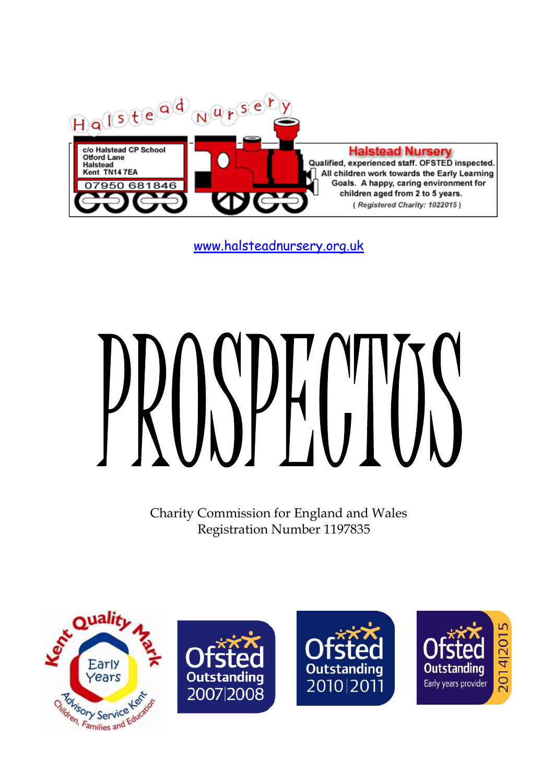

[www.halsteadnursery.org.uk](http://www.halsteadnursery.org.uk/)

Charity Commission for England and Wales Registration Number 1197835







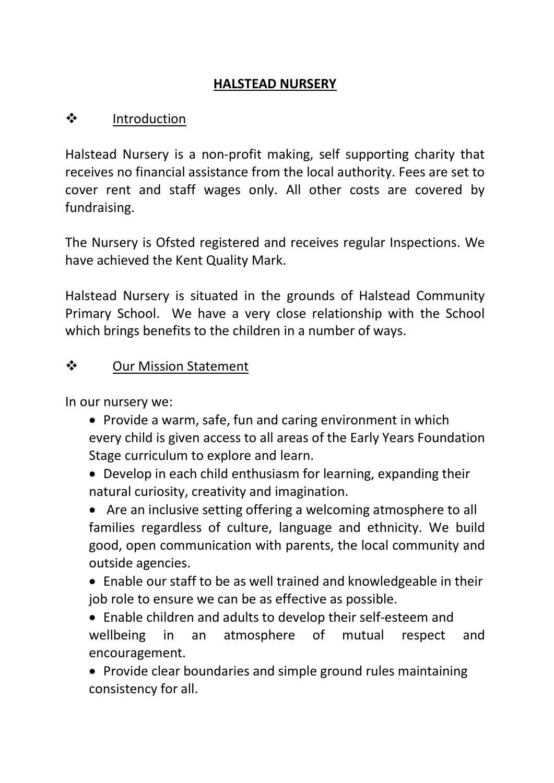#### **HALSTEAD NURSERY**

# ❖ Introduction

Halstead Nursery is a non-profit making, self supporting charity that receives no financial assistance from the local authority. Fees are set to cover rent and staff wages only. All other costs are covered by fundraising.

The Nursery is Ofsted registered and receives regular Inspections. We have achieved the Kent Quality Mark.

Halstead Nursery is situated in the grounds of Halstead Community Primary School. We have a very close relationship with the School which brings benefits to the children in a number of ways.

# ❖ Our Mission Statement

In our nursery we:

- Provide a warm, safe, fun and caring environment in which every child is given access to all areas of the Early Years Foundation Stage curriculum to explore and learn.
- Develop in each child enthusiasm for learning, expanding their natural curiosity, creativity and imagination.

• Are an inclusive setting offering a welcoming atmosphere to all families regardless of culture, language and ethnicity. We build good, open communication with parents, the local community and outside agencies.

• Enable our staff to be as well trained and knowledgeable in their job role to ensure we can be as effective as possible.

• Enable children and adults to develop their self-esteem and wellbeing in an atmosphere of mutual respect and encouragement.

• Provide clear boundaries and simple ground rules maintaining consistency for all.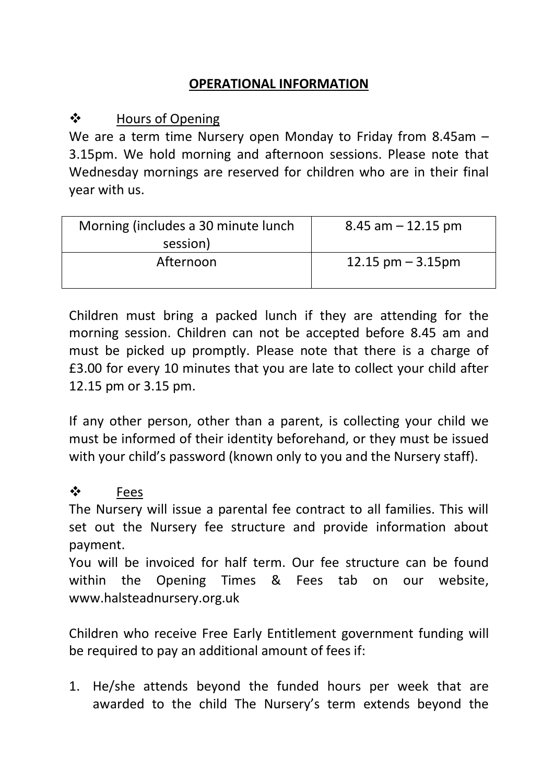## **OPERATIONAL INFORMATION**

### ❖ Hours of Opening

We are a term time Nursery open Monday to Friday from 8.45am – 3.15pm. We hold morning and afternoon sessions. Please note that Wednesday mornings are reserved for children who are in their final year with us.

| Morning (includes a 30 minute lunch | $8.45$ am $-12.15$ pm |
|-------------------------------------|-----------------------|
| session)                            |                       |
| Afternoon                           | $12.15$ pm $-3.15$ pm |
|                                     |                       |

Children must bring a packed lunch if they are attending for the morning session. Children can not be accepted before 8.45 am and must be picked up promptly. Please note that there is a charge of £3.00 for every 10 minutes that you are late to collect your child after 12.15 pm or 3.15 pm.

If any other person, other than a parent, is collecting your child we must be informed of their identity beforehand, or they must be issued with your child's password (known only to you and the Nursery staff).

#### ❖ Fees

The Nursery will issue a parental fee contract to all families. This will set out the Nursery fee structure and provide information about payment.

You will be invoiced for half term. Our fee structure can be found within the Opening Times & Fees tab on our website, www.halsteadnursery.org.uk

Children who receive Free Early Entitlement government funding will be required to pay an additional amount of fees if:

1. He/she attends beyond the funded hours per week that are awarded to the child The Nursery's term extends beyond the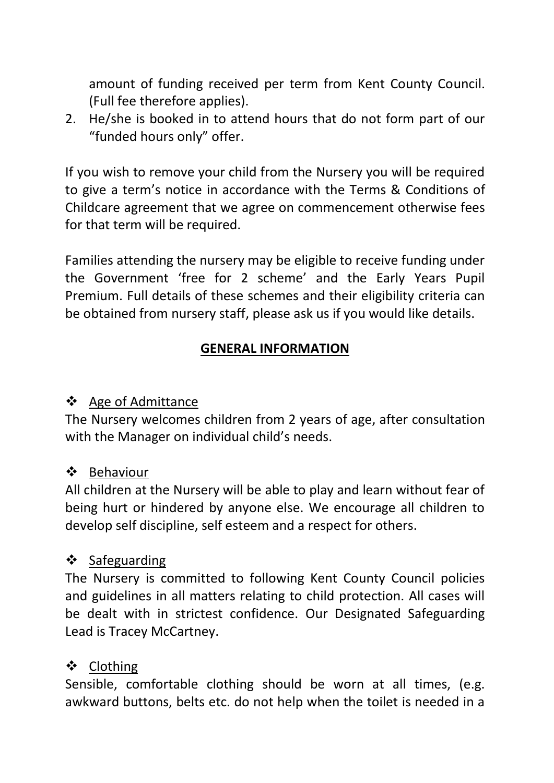amount of funding received per term from Kent County Council. (Full fee therefore applies).

2. He/she is booked in to attend hours that do not form part of our "funded hours only" offer.

If you wish to remove your child from the Nursery you will be required to give a term's notice in accordance with the Terms & Conditions of Childcare agreement that we agree on commencement otherwise fees for that term will be required.

Families attending the nursery may be eligible to receive funding under the Government 'free for 2 scheme' and the Early Years Pupil Premium. Full details of these schemes and their eligibility criteria can be obtained from nursery staff, please ask us if you would like details.

#### **GENERAL INFORMATION**

#### ❖ Age of Admittance

The Nursery welcomes children from 2 years of age, after consultation with the Manager on individual child's needs.

#### ❖ Behaviour

All children at the Nursery will be able to play and learn without fear of being hurt or hindered by anyone else. We encourage all children to develop self discipline, self esteem and a respect for others.

# ❖ Safeguarding

The Nursery is committed to following Kent County Council policies and guidelines in all matters relating to child protection. All cases will be dealt with in strictest confidence. Our Designated Safeguarding Lead is Tracey McCartney.

# ❖ Clothing

Sensible, comfortable clothing should be worn at all times, (e.g. awkward buttons, belts etc. do not help when the toilet is needed in a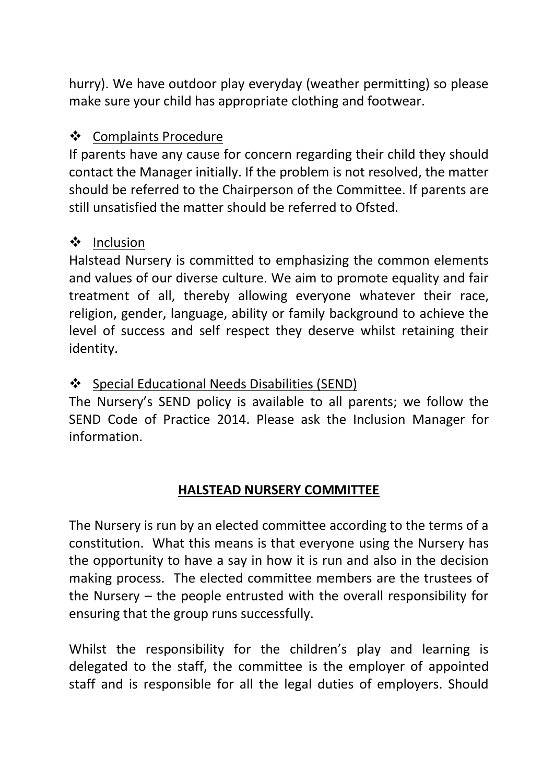hurry). We have outdoor play everyday (weather permitting) so please make sure your child has appropriate clothing and footwear.

### ❖ Complaints Procedure

If parents have any cause for concern regarding their child they should contact the Manager initially. If the problem is not resolved, the matter should be referred to the Chairperson of the Committee. If parents are still unsatisfied the matter should be referred to Ofsted.

## ❖ Inclusion

Halstead Nursery is committed to emphasizing the common elements and values of our diverse culture. We aim to promote equality and fair treatment of all, thereby allowing everyone whatever their race, religion, gender, language, ability or family background to achieve the level of success and self respect they deserve whilst retaining their identity.

# ❖ Special Educational Needs Disabilities (SEND)

The Nursery's SEND policy is available to all parents; we follow the SEND Code of Practice 2014. Please ask the Inclusion Manager for information.

#### **HALSTEAD NURSERY COMMITTEE**

The Nursery is run by an elected committee according to the terms of a constitution. What this means is that everyone using the Nursery has the opportunity to have a say in how it is run and also in the decision making process. The elected committee members are the trustees of the Nursery – the people entrusted with the overall responsibility for ensuring that the group runs successfully.

Whilst the responsibility for the children's play and learning is delegated to the staff, the committee is the employer of appointed staff and is responsible for all the legal duties of employers. Should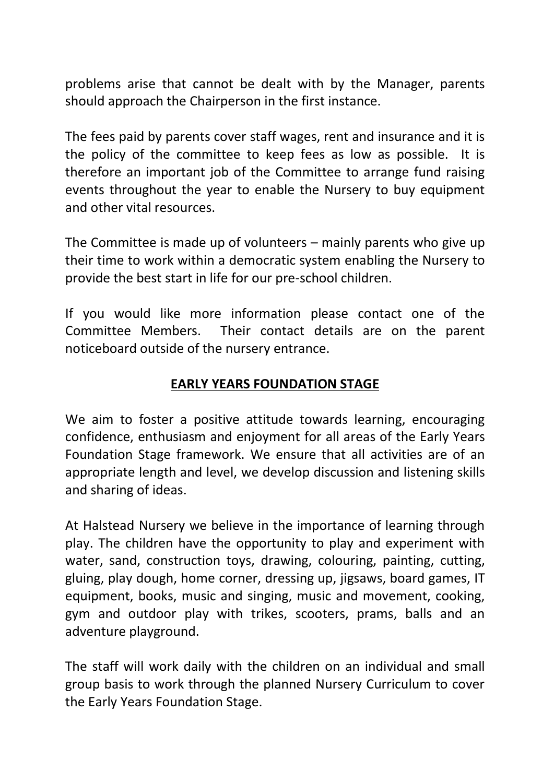problems arise that cannot be dealt with by the Manager, parents should approach the Chairperson in the first instance.

The fees paid by parents cover staff wages, rent and insurance and it is the policy of the committee to keep fees as low as possible. It is therefore an important job of the Committee to arrange fund raising events throughout the year to enable the Nursery to buy equipment and other vital resources.

The Committee is made up of volunteers – mainly parents who give up their time to work within a democratic system enabling the Nursery to provide the best start in life for our pre-school children.

If you would like more information please contact one of the Committee Members. Their contact details are on the parent noticeboard outside of the nursery entrance.

#### **EARLY YEARS FOUNDATION STAGE**

We aim to foster a positive attitude towards learning, encouraging confidence, enthusiasm and enjoyment for all areas of the Early Years Foundation Stage framework. We ensure that all activities are of an appropriate length and level, we develop discussion and listening skills and sharing of ideas.

At Halstead Nursery we believe in the importance of learning through play. The children have the opportunity to play and experiment with water, sand, construction toys, drawing, colouring, painting, cutting, gluing, play dough, home corner, dressing up, jigsaws, board games, IT equipment, books, music and singing, music and movement, cooking, gym and outdoor play with trikes, scooters, prams, balls and an adventure playground.

The staff will work daily with the children on an individual and small group basis to work through the planned Nursery Curriculum to cover the Early Years Foundation Stage.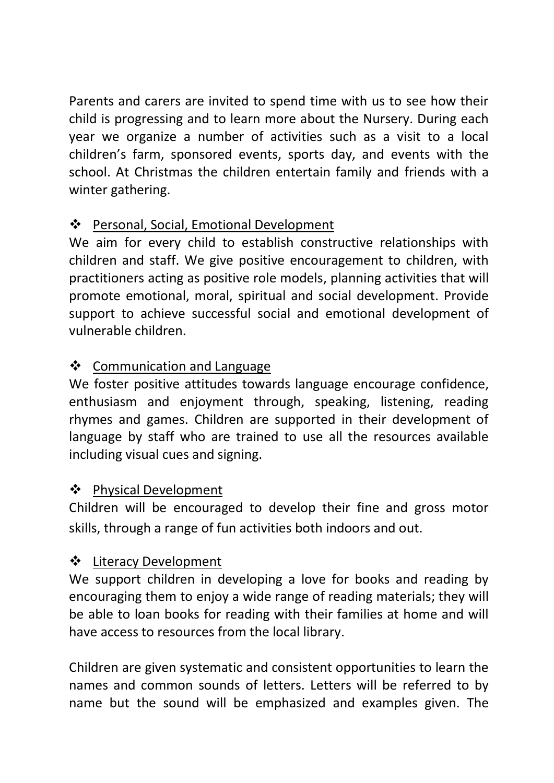Parents and carers are invited to spend time with us to see how their child is progressing and to learn more about the Nursery. During each year we organize a number of activities such as a visit to a local children's farm, sponsored events, sports day, and events with the school. At Christmas the children entertain family and friends with a winter gathering.

# ❖ Personal, Social, Emotional Development

We aim for every child to establish constructive relationships with children and staff. We give positive encouragement to children, with practitioners acting as positive role models, planning activities that will promote emotional, moral, spiritual and social development. Provide support to achieve successful social and emotional development of vulnerable children.

# ❖ Communication and Language

We foster positive attitudes towards language encourage confidence, enthusiasm and enjoyment through, speaking, listening, reading rhymes and games. Children are supported in their development of language by staff who are trained to use all the resources available including visual cues and signing.

# ❖ Physical Development

Children will be encouraged to develop their fine and gross motor skills, through a range of fun activities both indoors and out.

# ❖ Literacy Development

We support children in developing a love for books and reading by encouraging them to enjoy a wide range of reading materials; they will be able to loan books for reading with their families at home and will have access to resources from the local library.

Children are given systematic and consistent opportunities to learn the names and common sounds of letters. Letters will be referred to by name but the sound will be emphasized and examples given. The